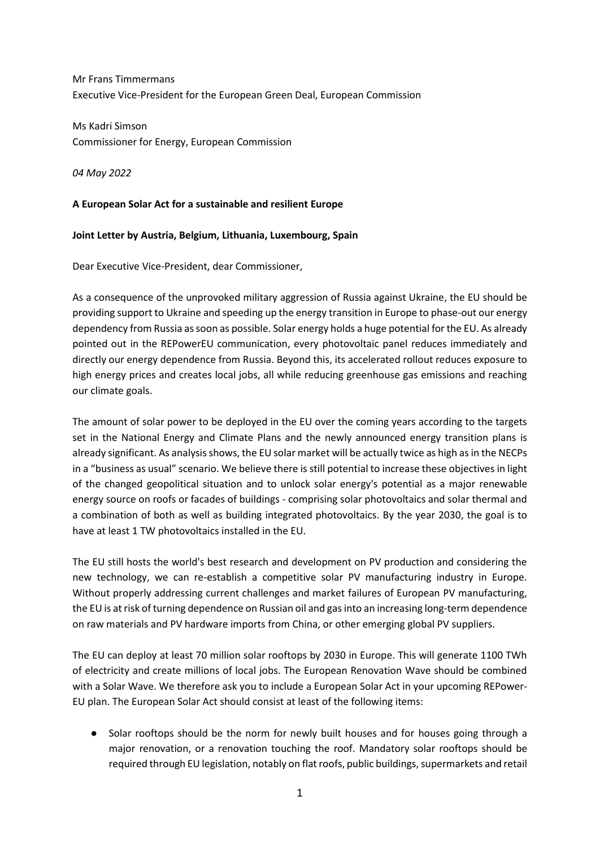Mr Frans Timmermans Executive Vice-President for the European Green Deal, European Commission

Ms Kadri Simson Commissioner for Energy, European Commission

*04 May 2022*

## **A European Solar Act for a sustainable and resilient Europe**

## **Joint Letter by Austria, Belgium, Lithuania, Luxembourg, Spain**

Dear Executive Vice-President, dear Commissioner,

As a consequence of the unprovoked military aggression of Russia against Ukraine, the EU should be providing support to Ukraine and speeding up the energy transition in Europe to phase-out our energy dependency from Russia as soon as possible. Solar energy holds a huge potential for the EU. As already pointed out in the REPowerEU communication, every photovoltaic panel reduces immediately and directly our energy dependence from Russia. Beyond this, its accelerated rollout reduces exposure to high energy prices and creates local jobs, all while reducing greenhouse gas emissions and reaching our climate goals.

The amount of solar power to be deployed in the EU over the coming years according to the targets set in the National Energy and Climate Plans and the newly announced energy transition plans is already significant. As analysis shows, the EU solar market will be actually twice as high as in the NECPs in a "business as usual" scenario. We believe there is still potential to increase these objectives in light of the changed geopolitical situation and to unlock solar energy's potential as a major renewable energy source on roofs or facades of buildings - comprising solar photovoltaics and solar thermal and a combination of both as well as building integrated photovoltaics. By the year 2030, the goal is to have at least 1 TW photovoltaics installed in the EU.

The EU still hosts the world's best research and development on PV production and considering the new technology, we can re-establish a competitive solar PV manufacturing industry in Europe. Without properly addressing current challenges and market failures of European PV manufacturing, the EU is at risk of turning dependence on Russian oil and gas into an increasing long-term dependence on raw materials and PV hardware imports from China, or other emerging global PV suppliers.

The EU can deploy at least 70 million solar rooftops by 2030 in Europe. This will generate 1100 TWh of electricity and create millions of local jobs. The European Renovation Wave should be combined with a Solar Wave. We therefore ask you to include a European Solar Act in your upcoming REPower-EU plan. The European Solar Act should consist at least of the following items:

● Solar rooftops should be the norm for newly built houses and for houses going through a major renovation, or a renovation touching the roof. Mandatory solar rooftops should be required through EU legislation, notably on flat roofs, public buildings, supermarkets and retail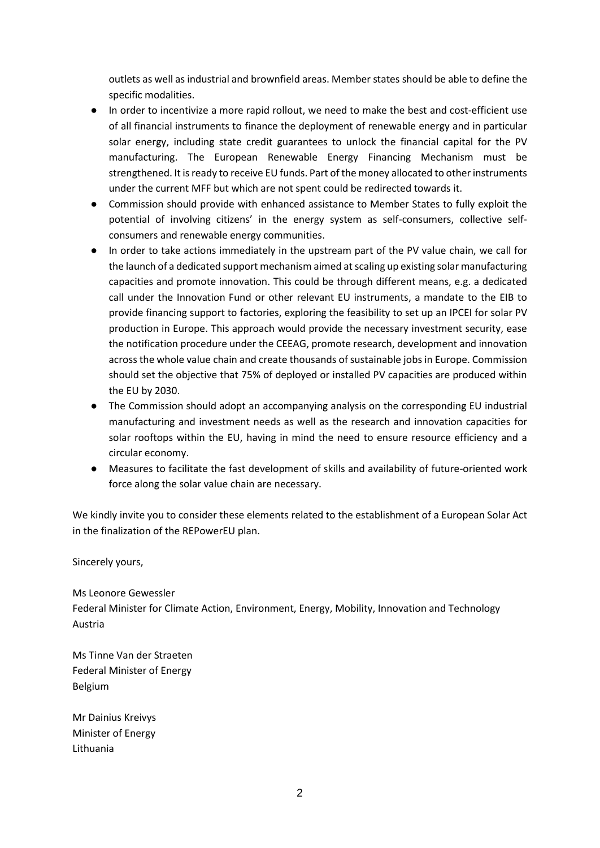outlets as well as industrial and brownfield areas. Member states should be able to define the specific modalities.

- In order to incentivize a more rapid rollout, we need to make the best and cost-efficient use of all financial instruments to finance the deployment of renewable energy and in particular solar energy, including state credit guarantees to unlock the financial capital for the PV manufacturing. The European Renewable Energy Financing Mechanism must be strengthened. It is ready to receive EU funds. Part of the money allocated to other instruments under the current MFF but which are not spent could be redirected towards it.
- Commission should provide with enhanced assistance to Member States to fully exploit the potential of involving citizens' in the energy system as self-consumers, collective selfconsumers and renewable energy communities.
- In order to take actions immediately in the upstream part of the PV value chain, we call for the launch of a dedicated support mechanism aimed at scaling up existing solar manufacturing capacities and promote innovation. This could be through different means, e.g. a dedicated call under the Innovation Fund or other relevant EU instruments, a mandate to the EIB to provide financing support to factories, exploring the feasibility to set up an IPCEI for solar PV production in Europe. This approach would provide the necessary investment security, ease the notification procedure under the CEEAG, promote research, development and innovation across the whole value chain and create thousands of sustainable jobs in Europe. Commission should set the objective that 75% of deployed or installed PV capacities are produced within the EU by 2030.
- The Commission should adopt an accompanying analysis on the corresponding EU industrial manufacturing and investment needs as well as the research and innovation capacities for solar rooftops within the EU, having in mind the need to ensure resource efficiency and a circular economy.
- Measures to facilitate the fast development of skills and availability of future-oriented work force along the solar value chain are necessary.

We kindly invite you to consider these elements related to the establishment of a European Solar Act in the finalization of the REPowerEU plan.

Sincerely yours,

Ms Leonore Gewessler Federal Minister for Climate Action, Environment, Energy, Mobility, Innovation and Technology Austria

Ms Tinne Van der Straeten Federal Minister of Energy Belgium

Mr Dainius Kreivys Minister of Energy Lithuania